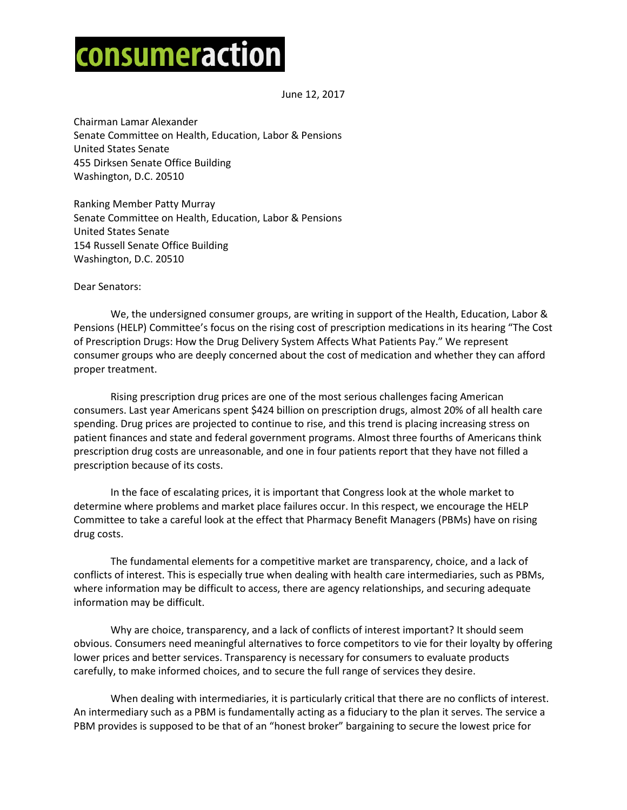## consumeraction

June 12, 2017

Chairman Lamar Alexander Senate Committee on Health, Education, Labor & Pensions United States Senate 455 Dirksen Senate Office Building Washington, D.C. 20510

Ranking Member Patty Murray Senate Committee on Health, Education, Labor & Pensions United States Senate 154 Russell Senate Office Building Washington, D.C. 20510

Dear Senators:

We, the undersigned consumer groups, are writing in support of the Health, Education, Labor & Pensions (HELP) Committee's focus on the rising cost of prescription medications in its hearing "The Cost of Prescription Drugs: How the Drug Delivery System Affects What Patients Pay." We represent consumer groups who are deeply concerned about the cost of medication and whether they can afford proper treatment.

Rising prescription drug prices are one of the most serious challenges facing American consumers. Last year Americans spent \$424 billion on prescription drugs, almost 20% of all health care spending. Drug prices are projected to continue to rise, and this trend is placing increasing stress on patient finances and state and federal government programs. Almost three fourths of Americans think prescription drug costs are unreasonable, and one in four patients report that they have not filled a prescription because of its costs.

In the face of escalating prices, it is important that Congress look at the whole market to determine where problems and market place failures occur. In this respect, we encourage the HELP Committee to take a careful look at the effect that Pharmacy Benefit Managers (PBMs) have on rising drug costs.

The fundamental elements for a competitive market are transparency, choice, and a lack of conflicts of interest. This is especially true when dealing with health care intermediaries, such as PBMs, where information may be difficult to access, there are agency relationships, and securing adequate information may be difficult.

Why are choice, transparency, and a lack of conflicts of interest important? It should seem obvious. Consumers need meaningful alternatives to force competitors to vie for their loyalty by offering lower prices and better services. Transparency is necessary for consumers to evaluate products carefully, to make informed choices, and to secure the full range of services they desire.

When dealing with intermediaries, it is particularly critical that there are no conflicts of interest. An intermediary such as a PBM is fundamentally acting as a fiduciary to the plan it serves. The service a PBM provides is supposed to be that of an "honest broker" bargaining to secure the lowest price for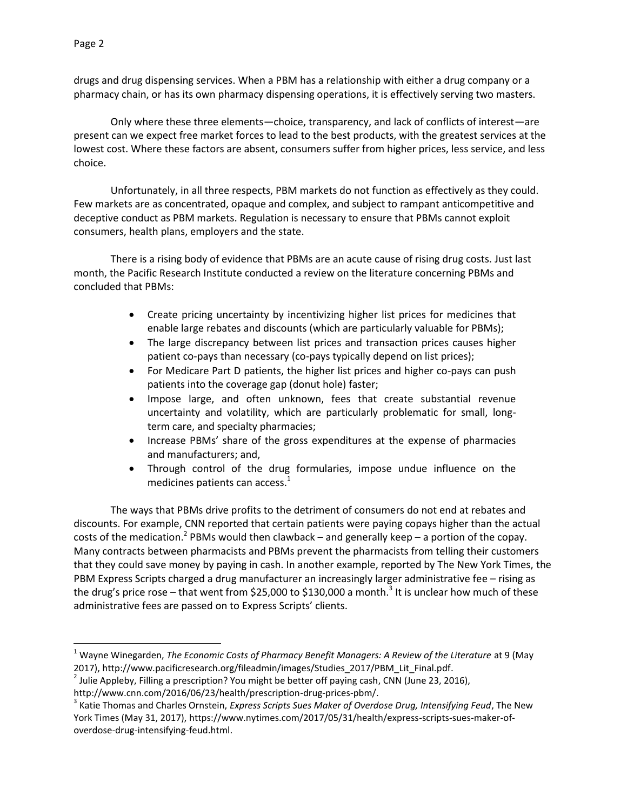$\overline{\phantom{a}}$ 

drugs and drug dispensing services. When a PBM has a relationship with either a drug company or a pharmacy chain, or has its own pharmacy dispensing operations, it is effectively serving two masters.

Only where these three elements—choice, transparency, and lack of conflicts of interest—are present can we expect free market forces to lead to the best products, with the greatest services at the lowest cost. Where these factors are absent, consumers suffer from higher prices, less service, and less choice.

Unfortunately, in all three respects, PBM markets do not function as effectively as they could. Few markets are as concentrated, opaque and complex, and subject to rampant anticompetitive and deceptive conduct as PBM markets. Regulation is necessary to ensure that PBMs cannot exploit consumers, health plans, employers and the state.

There is a rising body of evidence that PBMs are an acute cause of rising drug costs. Just last month, the Pacific Research Institute conducted a review on the literature concerning PBMs and concluded that PBMs:

- Create pricing uncertainty by incentivizing higher list prices for medicines that enable large rebates and discounts (which are particularly valuable for PBMs);
- The large discrepancy between list prices and transaction prices causes higher patient co-pays than necessary (co-pays typically depend on list prices);
- For Medicare Part D patients, the higher list prices and higher co-pays can push patients into the coverage gap (donut hole) faster;
- Impose large, and often unknown, fees that create substantial revenue uncertainty and volatility, which are particularly problematic for small, longterm care, and specialty pharmacies;
- Increase PBMs' share of the gross expenditures at the expense of pharmacies and manufacturers; and,
- Through control of the drug formularies, impose undue influence on the medicines patients can access. $<sup>1</sup>$ </sup>

The ways that PBMs drive profits to the detriment of consumers do not end at rebates and discounts. For example, CNN reported that certain patients were paying copays higher than the actual costs of the medication.<sup>2</sup> PBMs would then clawback – and generally keep – a portion of the copay. Many contracts between pharmacists and PBMs prevent the pharmacists from telling their customers that they could save money by paying in cash. In another example, reported by The New York Times, the PBM Express Scripts charged a drug manufacturer an increasingly larger administrative fee – rising as the drug's price rose – that went from \$25,000 to \$130,000 a month.<sup>3</sup> It is unclear how much of these administrative fees are passed on to Express Scripts' clients.

<sup>1</sup> Wayne Winegarden, *The Economic Costs of Pharmacy Benefit Managers: A Review of the Literature* at 9 (May 2017), http://www.pacificresearch.org/fileadmin/images/Studies\_2017/PBM\_Lit\_Final.pdf.

<sup>&</sup>lt;sup>2</sup> Julie Appleby, Filling a prescription? You might be better off paying cash, CNN (June 23, 2016),

http://www.cnn.com/2016/06/23/health/prescription-drug-prices-pbm/.

<sup>3</sup> Katie Thomas and Charles Ornstein, *Express Scripts Sues Maker of Overdose Drug, Intensifying Feud*, The New York Times (May 31, 2017), https://www.nytimes.com/2017/05/31/health/express-scripts-sues-maker-ofoverdose-drug-intensifying-feud.html.